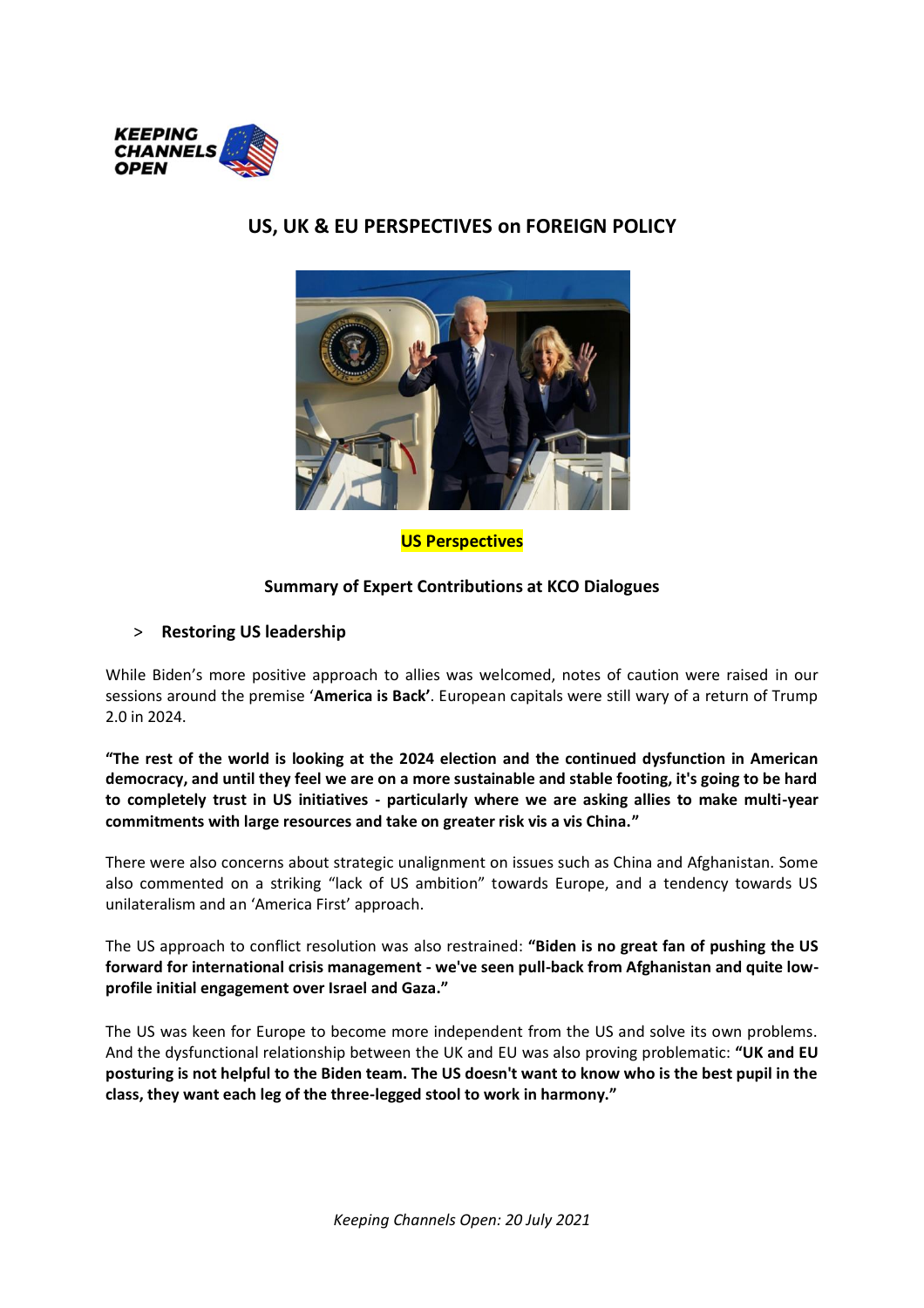

**US Perspectives**

#### **Summary of Expert Contributions at KCO Dialogues**

#### > **Restoring US leadership**

While Biden's more positive approach to allies was welcomed, notes of caution were raised in our sessions around the premise '**America is Back'**. European capitals were still wary of a return of Trump 2.0 in 2024.

**"The rest of the world is looking at the 2024 election and the continued dysfunction in American democracy, and until they feel we are on a more sustainable and stable footing, it's going to be hard to completely trust in US initiatives - particularly where we are asking allies to make multi-year commitments with large resources and take on greater risk vis a vis China."**

There were also concerns about strategic unalignment on issues such as China and Afghanistan. Some also commented on a striking "lack of US ambition" towards Europe, and a tendency towards US unilateralism and an 'America First' approach.

The US approach to conflict resolution was also restrained: **"Biden is no great fan of pushing the US forward for international crisis management - we've seen pull-back from Afghanistan and quite lowprofile initial engagement over Israel and Gaza."**

The US was keen for Europe to become more independent from the US and solve its own problems. And the dysfunctional relationship between the UK and EU was also proving problematic: **"UK and EU posturing is not helpful to the Biden team. The US doesn't want to know who is the best pupil in the class, they want each leg of the three-legged stool to work in harmony."** 

# **US, UK & EU PERSPECTIVES on FOREIGN POLICY**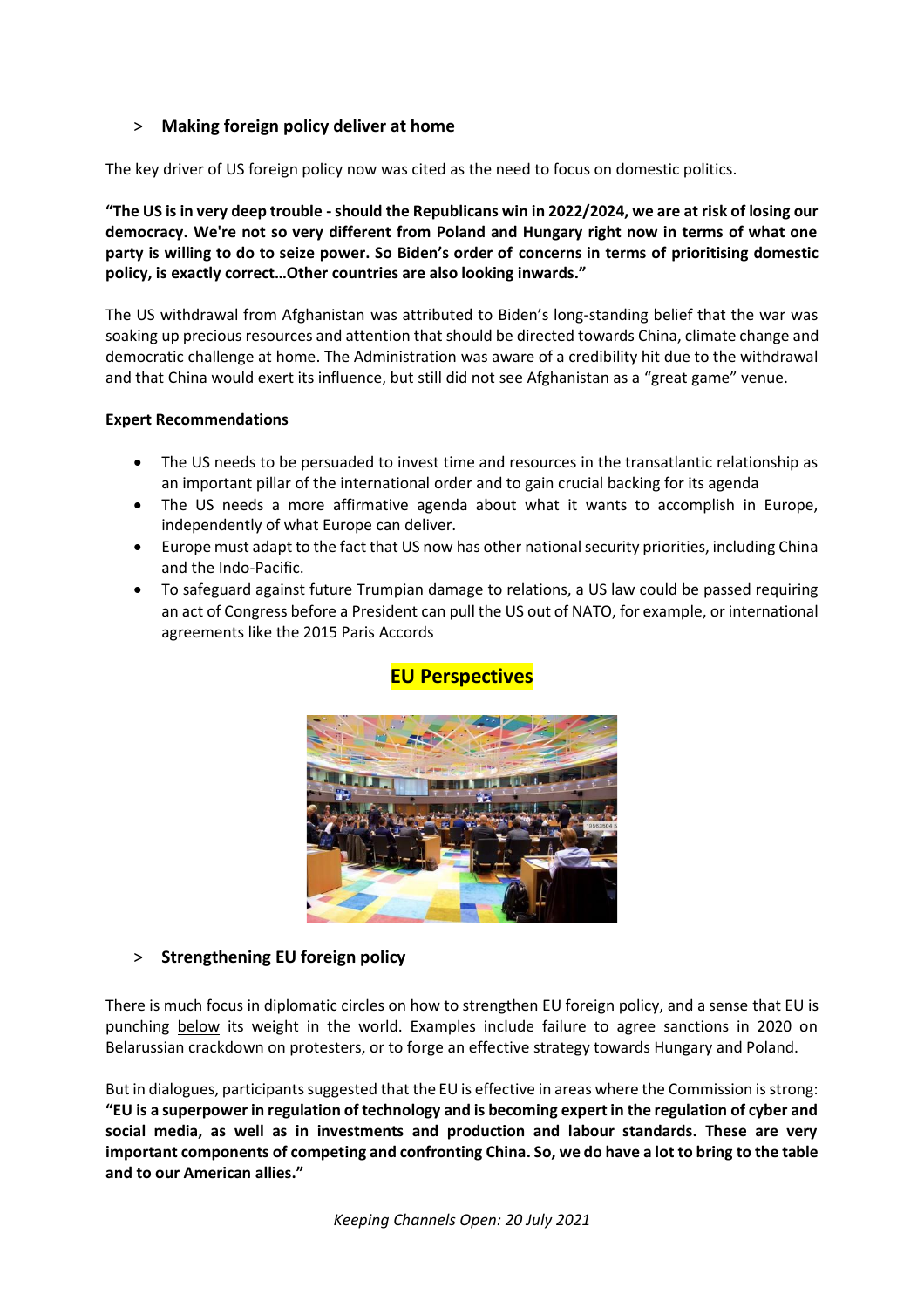### > **Making foreign policy deliver at home**

The key driver of US foreign policy now was cited as the need to focus on domestic politics.

**"The US is in very deep trouble -should the Republicans win in 2022/2024, we are at risk of losing our democracy. We're not so very different from Poland and Hungary right now in terms of what one party is willing to do to seize power. So Biden's order of concerns in terms of prioritising domestic policy, is exactly correct…Other countries are also looking inwards."**

The US withdrawal from Afghanistan was attributed to Biden's long-standing belief that the war was soaking up precious resources and attention that should be directed towards China, climate change and democratic challenge at home. The Administration was aware of a credibility hit due to the withdrawal and that China would exert its influence, but still did not see Afghanistan as a "great game" venue.

#### **Expert Recommendations**

- The US needs to be persuaded to invest time and resources in the transatlantic relationship as an important pillar of the international order and to gain crucial backing for its agenda
- The US needs a more affirmative agenda about what it wants to accomplish in Europe, independently of what Europe can deliver.
- Europe must adapt to the fact that US now has other national security priorities, including China and the Indo-Pacific.
- To safeguard against future Trumpian damage to relations, a US law could be passed requiring an act of Congress before a President can pull the US out of NATO, for example, or international agreements like the 2015 Paris Accords



## **EU Perspectives**

#### > **Strengthening EU foreign policy**

There is much focus in diplomatic circles on how to strengthen EU foreign policy, and a sense that EU is punching below its weight in the world. Examples include failure to agree sanctions in 2020 on Belarussian crackdown on protesters, or to forge an effective strategy towards Hungary and Poland.

But in dialogues, participants suggested that the EU is effective in areas where the Commission is strong: **"EU is a superpower in regulation of technology and is becoming expert in the regulation of cyber and social media, as well as in investments and production and labour standards. These are very important components of competing and confronting China. So, we do have a lot to bring to the table and to our American allies."**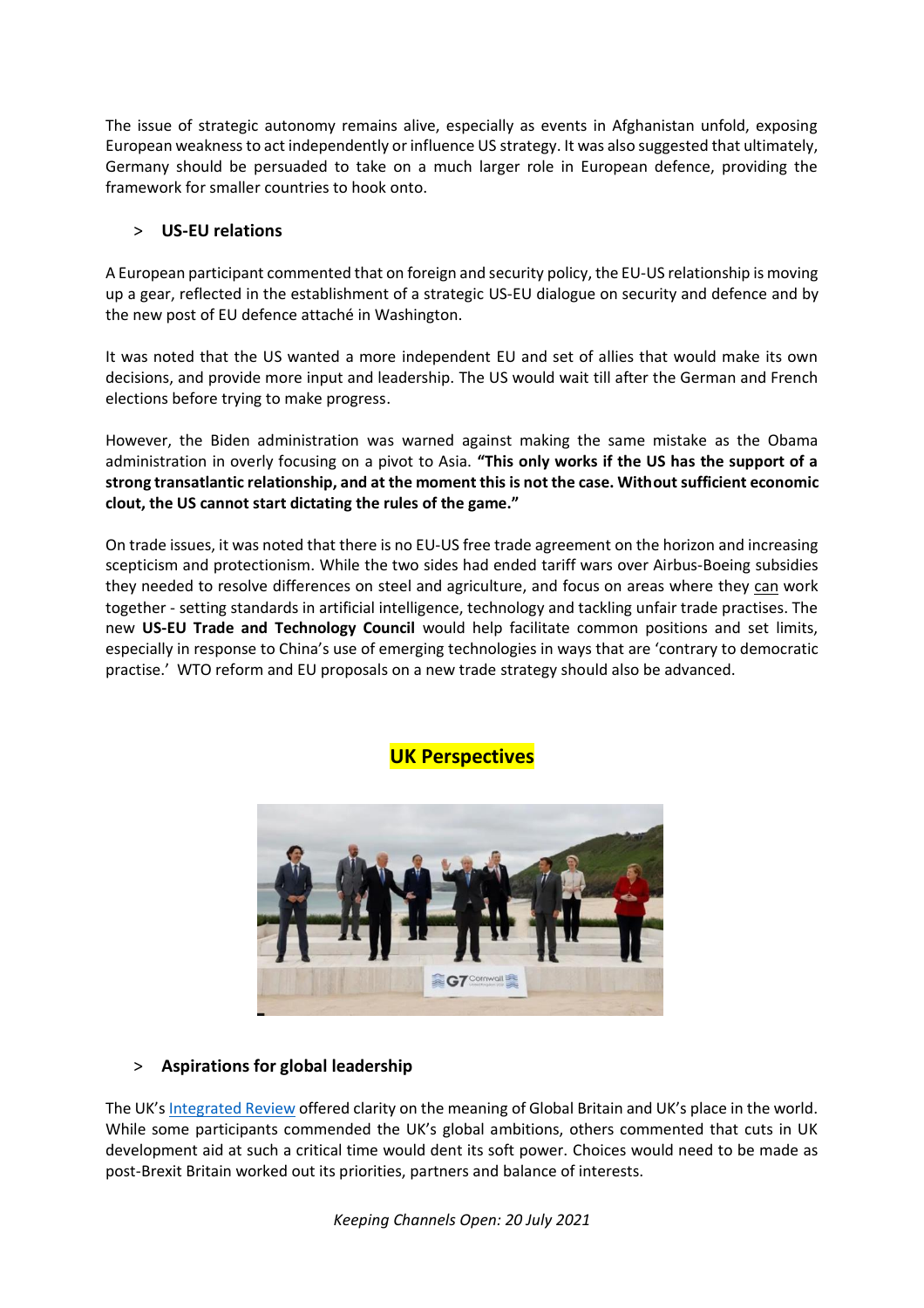The issue of strategic autonomy remains alive, especially as events in Afghanistan unfold, exposing European weakness to act independently or influence US strategy. It was also suggested that ultimately, Germany should be persuaded to take on a much larger role in European defence, providing the framework for smaller countries to hook onto.

#### > **US-EU relations**

A European participant commented that on foreign and security policy, the EU-US relationship is moving up a gear, reflected in the establishment of a strategic US-EU dialogue on security and defence and by the new post of EU defence attaché in Washington.

It was noted that the US wanted a more independent EU and set of allies that would make its own decisions, and provide more input and leadership. The US would wait till after the German and French elections before trying to make progress.

However, the Biden administration was warned against making the same mistake as the Obama administration in overly focusing on a pivot to Asia. **"This only works if the US has the support of a strong transatlantic relationship, and at the moment this is not the case. Without sufficient economic clout, the US cannot start dictating the rules of the game."** 

On trade issues, it was noted that there is no EU-US free trade agreement on the horizon and increasing scepticism and protectionism. While the two sides had ended tariff wars over Airbus-Boeing subsidies they needed to resolve differences on steel and agriculture, and focus on areas where they can work together - setting standards in artificial intelligence, technology and tackling unfair trade practises. The new **US-EU Trade and Technology Council** would help facilitate common positions and set limits, especially in response to China's use of emerging technologies in ways that are 'contrary to democratic practise.' WTO reform and EU proposals on a new trade strategy should also be advanced.



# **UK Perspectives**

#### > **Aspirations for global leadership**

The UK's [Integrated Review](https://www.gov.uk/government/publications/global-britain-in-a-competitive-age-the-integrated-review-of-security-defence-development-and-foreign-policy) offered clarity on the meaning of Global Britain and UK's place in the world. While some participants commended the UK's global ambitions, others commented that cuts in UK development aid at such a critical time would dent its soft power. Choices would need to be made as post-Brexit Britain worked out its priorities, partners and balance of interests.